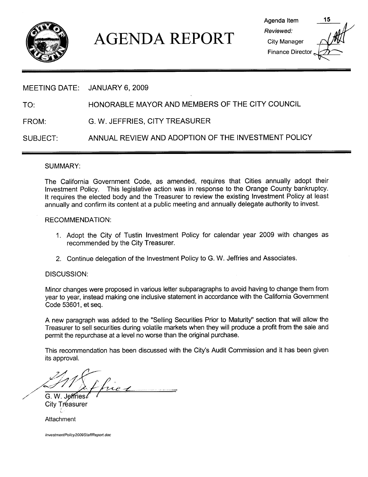

# AGENDA REPORT<br>
Elity Manager<br>
Finance Directory<br>
ANILIAPY 6, 2009

| Agenda Item         |  |
|---------------------|--|
| Reviewed:           |  |
| <b>City Manager</b> |  |
| Finance Director.   |  |
|                     |  |

### MEETING DATE: JANUARY 6, 2009

TO: HONORABLE MAYOR AND MEMBERS OF THE CITY COUNCIL

FROM: G. W. JEFFRIES, CITY TREASURER

SUBJECT: ANNUAL REVIEW AND ADOPTION OF THE INVESTMENT POLICY

### SUMMARY

The California Government Code, as amended, requires that Cities annually adopt their Investment Policy. This legislative action was in response to the Orange County bankruptcy. It requires the elected body and the Treasurer to review the existing Investment Policy at least annually and confirm its content at a public meeting and annually delegate authority to invest

### RECOMMENDATION

- 1 Adopt the City of Tustin Investment Policy for calendar year <sup>2009</sup> with changes as recommended by the City Treasurer
- 2. Continue delegation of the Investment Policy to G. W. Jeffries and Associates.

### DISCUSSION:

Minor changes were proposed in various letter subparagraphs to avoid having to change them from year to year, instead making one inclusive statement in accordance with the California Government Code 53601, et seq.

A new paragraph was added to the "Selling Securities Prior to Maturity" section that will allow the Treasurer to sell securities during volatile markets when they will produce a profit from the sale and

permit the repurchase at a level no worse than the original purchase<br>This recommendation has been discussed with the City's Audit Cor<br>its approval. This recommendation has been discussed with the City's Audit Commission and it has been given its approval

a p.<br>ne 1

G. W. Jeffries  $\ell$ City Tréasurer

**Attachment** 

InvestmentPolicy2009StaffReport doc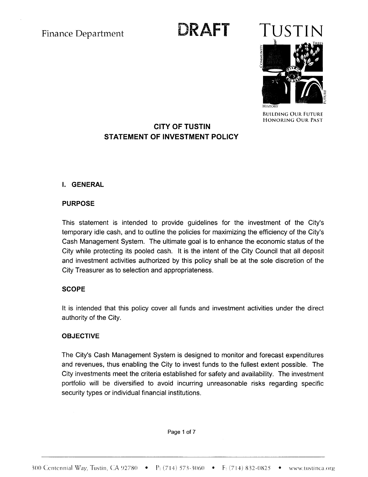# Finance Department **DRAFT**



BUILDING OUR FUTURE HONORING OUR PAST

## CITY OF TUSTIN STATEMENT OF INVESTMENT POLICY

### **I. GENERAL**

### PURPOSE

PURPOSE<br>This statement is intended to provide guidelines for the investment of the City's<br>temporary idle.cash, and to outline the policies for maximizing the efficiency of the City's This statement is intended to provide guidelines for the investment of the City's<br>temporary idle cash, and to outline the policies for maximizing the efficiency of the City's<br>Cash Management System. The ultimate goal is to Cash Management System. The ultimate goal is to enhance the economic status of the City while protecting its pooled cash. It is the intent of the City Council that all deposit and investment activities authorized by this policy shall be at the sole discretion of the City Treasurer as to selection and appropriateness

### **SCOPE**

It is intended that this policy cover all funds and investment activities under the direct authority of the City

### **OBJECTIVE**

The City's Cash Management System is designed to monitor and forecast expenditures and revenues, thus enabling the City to invest funds to the fullest extent possible. The City investments meet the criteria established for safety and availability. The investment portfolio will be diversified to avoid incurring unreasonable risks regarding specific security types or individual financial institutions. **300 Centennial Way, Tustin, CA 92780** •  $P_1$  (714) 573-3060 •  $F_1$  (714) 832-0825 • www.tustinca.org<br> **300 Centennial Way, Tustin, CA 92780** •  $P_2$  (714) 573-3060 •  $F_3$  (714) 832-0825 • www.tustinca.org

Page <sup>1</sup> of 7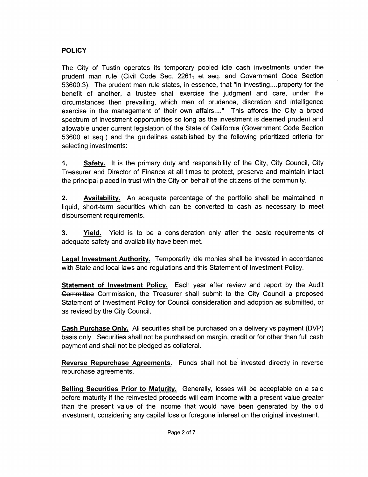### **POLICY**

The City of Tustin operates its temporary pooled idle cash investments under the prudent man rule (Civil Code Sec. 2261<sub>7</sub> et seq. and Government Code Section **FOLICY**<br>The City of Tustin operates its temporary pooled idle cash investments under the<br>prudent man rule (Civil Code Sec. 2261, et seq. and Government Code Section<br>53600.3). The prudent man rule states, in essence, that benefit of another, a trustee shall exercise the judgment and care, under the circumstances then prevailing, which men of prudence, discretion and intelligence exercise in the management of their own affairs...." This affords the City a broad spectrum of investment opportunities so long as the investment is deemed prudent and allowable under current legislation of the State of California (Government Code Section 53600 et seq.) and the guidelines established by the following prioritized criteria for selecting investments

1. Safety. It is the primary duty and responsibility of the City, City Council, City Treasurer and Director of Finance at all times to protect, preserve and maintain intact the principal placed in trust with the City on behalf of the citizens of the community

**2.** Availability. An adequate percentage of the portfolio shall be maintained in liquid, short-term securities which can be converted to cash as necessary to meet disbursement requirements

**3.** Yield. Yield is to be a consideration only after the basic requirements of adequate safety and availability have been met

**Legal Investment Authority.** Temporarily idle monies shall be invested in accordance with State and local laws and regulations and this Statement of Investment Policy

**Statement of Investment Policy.** Each year after review and report by the Audit **Legal Investment Authority.** Temporarily idle monies shall be invested in a with State and local laws and regulations and this Statement of Investment Policy Each year after review and report by Committee Commission, the Committee Commission, the Treasurer shall submit to the City Council a proposed Statement of Investment Policy for Council consideration and adoption as submitted, or as revised by the City Council

Cash Purchase Only. All securities shall be purchased on a delivery vs payment (DVP) basis only. Securities shall not be purchased on margin, credit or for other than full cash payment and shall not be pledged as collateral

Reverse Repurchase Agreements. Funds shall not be invested directly in reverse repurchase agreements

Selling Securities Prior to Maturity. Generally, losses will be acceptable on a sale before maturity if the reinvested proceeds will earn income with a present value greater than the present value of the income that would have been generated by the old investment, considering any capital loss or foregone interest on the original investment.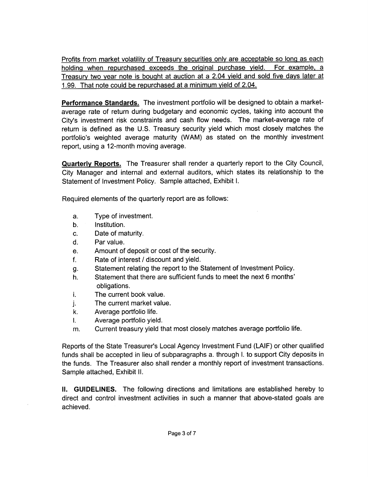Profits from market volatility of Treasury securities only are acceptable so long as each holding when repurchased exceeds the original purchase yield. For example, a <u>Fronts from market volating of freasury securities only are acceptable so long as each</u><br>holding when repurchased exceeds the original purchase yield. For example, a<br>Treasury two year note is bought at auction at a 2.04 yi holding when repurchased exceeds the original purchase yie<br>Treasury two year note is bought at auction at a 2.04 yield and<br>1.99. That note could be repurchased at a minimum yield of 2.04.

Performance Standards. The investment portfolio will be designed to obtain a marketaverage rate of return during budgetary and economic cycles, taking into account the **Performance Standards.** The investment portfolio will be designed to obtain a market-average rate of return during budgetary and economic cycles, taking into account the City's investment risk constraints and cash flow ne City's investment risk constraints and cash flow needs. The market-average rate of return is defined as the U.S. Treasury security yield which most closely matches the portfolio's weighted average maturity (WAM) as stated on the monthly investment report, using a 12-month moving average.

**Quarterly Reports.** The Treasurer shall render a quarterly report to the City Council, City Manager and internal and external auditors, which states its relationship to the Statement of Investment Policy. Sample attached, Exhibit I.

Required elements of the quarterly report are as follows

- a Type of investment
- b. Institution.
- c. Date of maturity.
- d. Par value.
- e. Amount of deposit or cost of the security.
- f. Rate of interest  $\ell$  discount and yield.
- g Statement relating the report to the Statement of Investment Policy
- h. Statement that there are sufficient funds to meet the next 6 months' obligations.
- i. The current book value.
- j.<br>k. The current market value
- Average portfolio life.
- I. Average portfolio yield.
- m. Current treasury yield that most closely matches average portfolio life.

Reports of the State Treasurer's Local Agency Investment Fund (LAIF) or other qualified Reports of the State Treasurer's Local Agency investment I und (LAIT) of other qualified<br>funds shall be accepted in lieu of subparagraphs a. through I. to support City deposits in the funds. The Treasurer also shall render a monthly report of investment transactions. Sample attached, Exhibit II.

II. GUIDELINES. The following directions and limitations are established hereby to direct and control investment activities in such a manner that above-stated goals are achieved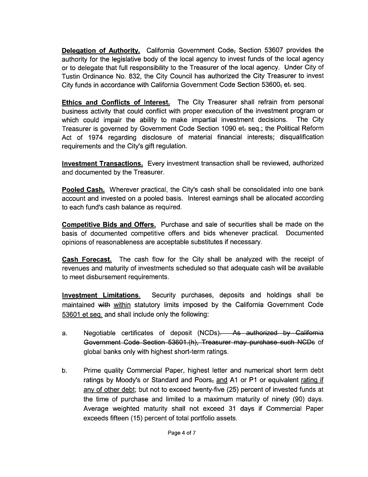**Delegation of Authority.** California Government Code, Section 53607 provides the authority for the legislative body of the local agency to invest funds of the local agency or to delegate that full responsibility to the Treasurer of the local agency. Under City of Tustin Ordinance No. 832, the City Council has authorized the City Treasurer to invest City funds in accordance with California Government Code Section 53600, et. seq.

Ethics and Conflicts of Interest. The City Treasurer shall refrain from personal business activity that could conflict with proper execution of the investment program or which could impair the ability to make impartial investment decisions. The City Treasurer is governed by Government Code Section 1090 et-seq.; the Political Reform Act of 1974 regarding disclosure of material financial interests; disqualification Treasurer is governed by Government Co<br>Act of 1974 regarding disclosure of<br>requirements and the City's gift regulation

Investment Transactions. Every investment transaction shall be reviewed, authorized and documented by the Treasurer

and documented by the Treasurer.<br>Pooled Cash. Wherever practical, the City's cash shall be consolidated into one bank<br>account and invested on a pooled basis. Interest earnings shall be allocated according account and invested on a pooled basis Interest earnings shall be allocated according Pooled Cash. Wherever practical, the account and invested on a pooled basis<br>to each fund's cash balance as required.

Competitive Bids and Offers. Purchase and sale of securities shall be made on the basis of documented competitive offers and bids whenever practical. Documented opinions of reasonableness are acceptable substitutes if necessary

**Cash Forecast.** The cash flow for the City shall be analyzed with the receipt of revenues and maturity of investments scheduled so that adequate cash will be available to meet disbursement requirements

Investment Limitations. Security purchases, deposits and holdings shall be maintained with within statutory limits imposed by the California Government Code 53601 et seq. and shall include only the following: Investment Limitations. Security purchases, deposits and holdings s<br>
maintained with <u>within</u> statutory limits imposed by the California Governmer<br>
53601 et seq. and shall include only the following:<br>
a. Negotiable certifi

- Negotiable certificates of deposit (NCDs). As authorized by California Government Code Section 53601.(h), Treasurer may purchase such NCDs of global banks only with highest short-term ratings.
- b. Prime quality Commercial Paper, highest letter and numerical short term debt global banks only v<br>Prime quality Com<br>ratings by Moody's<br><u>any of other debt</u>; l or Standard and Poors<sub>7</sub> and A1 or P1 or equivalent rating if any of other debt; but not to exceed twenty-five (25) percent of invested funds at the time of purchase and limited to a maximum maturity of ninety (90) days. Average weighted maturity shall not exceed <sup>31</sup> days if Commercial Paper exceeds fifteen (15) percent of total portfolio assets.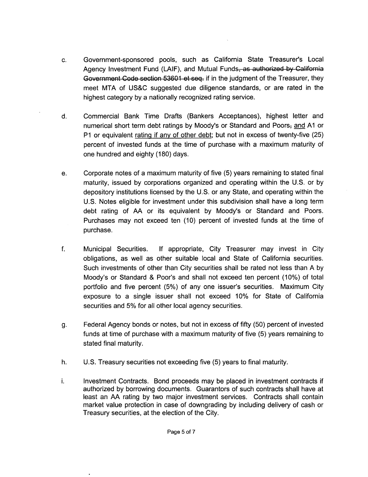- c. Government-sponsored pools, such as California State Treasurer's Local<br>Agency Investment Fund (LAIF), and Mutual Funds<del>, as authorized by California</del> Agency Investment Fund (LAIF), and Mutual Funds, as authorized by California Government Code section 53601 et seq. if in the judgment of the Treasurer, they meet MTA of US&C suggested due diligence standards, or are rated in the highest category by a nationally recognized rating service.
- d. Commercial Bank Time Drafts (Bankers Acceptances), highest letter and highest category by a nationally recognized ration<br>Commercial Bank Time Drafts (Bankers<br>numerical short term debt ratings by Moody's<br>P1 or equivalent <u>rating if any of other debt</u>; b or Standard and Poors<del>,</del> <u>and</u> A1 or P1 or equivalent rating if any of other debt; but not in excess of twenty-five (25) percent of invested funds at the time of purchase with a maximum maturity of one hundred and eighty (180) days.
- e. Corporate notes of a maximum maturity of five (5) years remaining to stated final maturity, issued by corporations organized and operating within the U.S. or by maturity, issued by corporations organized and operating within the U.S. or by<br>depository institutions licensed by the U.S. or any State, and operating within the<br>U.S. Notes eligible for investment under this subdivision s depository institutions licensed by the U.S. or any State, and operating within the<br>U.S. Notes eligible for investment under this subdivision shall have a long term debt rating of AA or its equivalent by Moody's or Standard and Poors. Purchases may not exceed ten (10) percent of invested funds at the time of purchase
- f. Municipal Securities. If appropriate, City Treasurer may invest in City obligations, as well as other suitable local and State of California securities. Such investments of other than City securities shall be rated not less than A by Municipal Securities. If appropriate, City Treasurer may invest in City<br>obligations, as well as other suitable local and State of California securities.<br>Such investments of other than City securities shall be rated not les Moody's or Standard & Poor's and shall not exceed ten percent (10%) of total portfolio and five percent (5%) of any one issuer's securities. Maximum City exposure to a single issuer shall not exceed 10% for State of California securities and 5% for all other local agency securities.
- g Federal Agency bonds or notes, but not in excess of fifty (50) percent of invested funds at time of purchase with a maximum maturity of five (5) years remaining to stated final maturity
- h. U.S. Treasury securities not exceeding five (5) years to final maturity.
- i. Investment Contracts. Bond proceeds may be placed in investment contracts if authorized by borrowing documents. Guarantors of such contracts shall have at least an AA rating by two major investment services. Contracts shall contain market value protection in case of downgrading by including delivery of cash or Treasury securities, at the election of the City.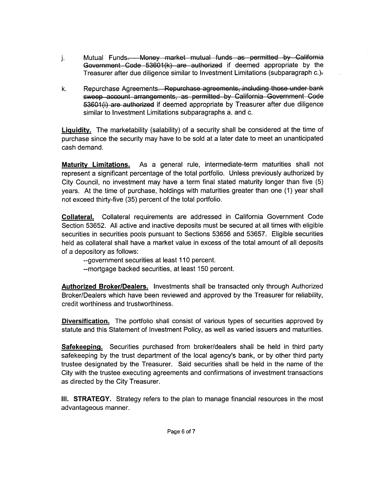- Mutual Funds. Money manufactured Money<br>Government Code 53601(k)<br>Treasurer after due diligence<br>Repurchase Agreements. Re<br>sweep account arrangement<br>53601(i) are authorized if definition Mutual Funds<del>. Money market mutual</del><br>Government Code 53601(k) are authe<br>Treasurer after due diligence similar to Inv<br>Repurchase Agreements<del>. Repurchase a</del> mutual funds<br>authorized if<br>to Investment<br>ase agreemer **al funds as permitted by<br>erized if deemed appropria<br>ivestment Limitations (subpar** <del>California</del><br>e by the<br>graph c.)<del>.</del> Government Code  $53601(k)$  are authorized if deemed appropriate by the Treasurer after due diligence similar to Investment Limitations (subparagraph c.). ed by California<br>propriate by the<br>subparagraph c.)<del>.</del><br>those under bank<br>jovernment Code<br>fter due diligence
- i. Mutual Funds<del>. Money market mutual funds as permitted</del><br>Government Code 53601(k) are authorized if deemed app<br>Treasurer after due diligence similar to Investment Limitations (si<br>Repurchase Agreements. Repurchase agreemen sweep account arrangements, as permitted by California Government Code 53601(i) are authorized if deemed appropriate by Treasurer after due diligence similar to Investment Limitations subparagraphs a. and c.

Liquidity. The marketability (salability) of a security shall be considered at the time of purchase since the security may have to be sold at a later date to meet an unanticipated cash demand

Maturity Limitations As a general rule intermediate term maturities shall not represent a significant percentage of the total portfolio Unless previously authorized by City Council, no investment may have a term final stated maturity longer than five (5) years. At the time of purchase, holdings with maturities greater than one (1) year shall not exceed thirty-five (35) percent of the total portfolio.

Collateral Collateral requirements are addressed in California Government Code Section 53652. All active and inactive deposits must be secured at all times with eligible securities in securities pools pursuant to Sections 53656 and 53657. Eligible securities held as collateral shall have a market value in excess of the total amount of all deposits of a depository as follows

--government securities at least 110 percent.

--mortgage backed securities, at least 150 percent.

Authorized Broker/Dealers. Investments shall be transacted only through Authorized Broker/Dealers which have been reviewed and approved by the Treasurer for reliability, credit worthiness and trustworthiness

Diversification. The portfolio shall consist of various types of securities approved by statute and this Statement of Investment Policy, as well as varied issuers and maturities.

Safekeeping. Securities purchased from broker/dealers shall be held in third party **DIVERTITE DET ATT THE POTTOILS STATE OF VALUAT STATE OF SECUTIES APPROVED Dy** statute and this Statement of Investment Policy, as well as varied issuers and maturities.<br> **Safekeeping.** Securities purchased from broker/dea trustee designated by the Treasurer. Said securities shall be held in the name of the City with the trustee executing agreements and confirmations of investment transactions as directed by the City Treasurer

III. STRATEGY. Strategy refers to the plan to manage financial resources in the most advantageous manner